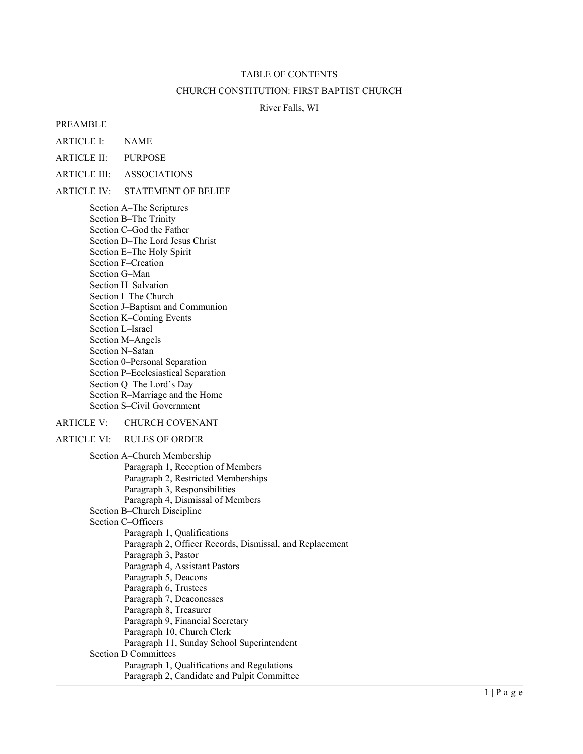### TABLE OF CONTENTS

#### CHURCH CONSTITUTION: FIRST BAPTIST CHURCH

#### River Falls, WI

#### PREAMBLE

ARTICLE I: NAME

ARTICLE II: PURPOSE

ARTICLE III: ASSOCIATIONS

#### ARTICLE IV: STATEMENT OF BELIEF

Section A–The Scriptures Section B–The Trinity Section C–God the Father Section D–The Lord Jesus Christ Section E–The Holy Spirit Section F–Creation Section G–Man Section H–Salvation Section I–The Church Section J–Baptism and Communion Section K–Coming Events Section L–Israel Section M–Angels Section N–Satan Section 0–Personal Separation Section P–Ecclesiastical Separation Section Q–The Lord's Day Section R–Marriage and the Home Section S–Civil Government

#### ARTICLE V: CHURCH COVENANT

ARTICLE VI: RULES OF ORDER

Section A–Church Membership Paragraph 1, Reception of Members Paragraph 2, Restricted Memberships Paragraph 3, Responsibilities Paragraph 4, Dismissal of Members Section B–Church Discipline Section C–Officers Paragraph 1, Qualifications Paragraph 2, Officer Records, Dismissal, and Replacement Paragraph 3, Pastor Paragraph 4, Assistant Pastors Paragraph 5, Deacons Paragraph 6, Trustees Paragraph 7, Deaconesses Paragraph 8, Treasurer Paragraph 9, Financial Secretary Paragraph 10, Church Clerk Paragraph 11, Sunday School Superintendent Section D Committees Paragraph 1, Qualifications and Regulations Paragraph 2, Candidate and Pulpit Committee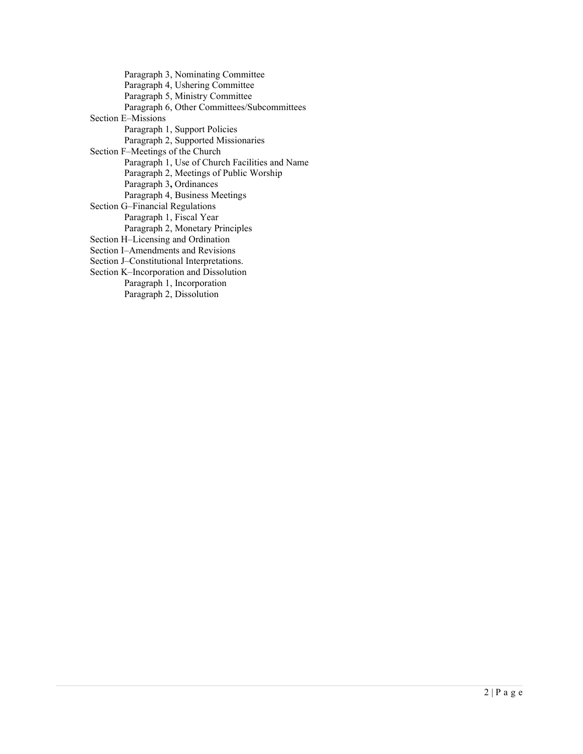Paragraph 3, Nominating Committee Paragraph 4, Ushering Committee Paragraph 5, Ministry Committee Paragraph 6, Other Committees/Subcommittees Section E–Missions Paragraph 1, Support Policies Paragraph 2, Supported Missionaries Section F–Meetings of the Church Paragraph 1, Use of Church Facilities and Name Paragraph 2, Meetings of Public Worship Paragraph 3, Ordinances Paragraph 4, Business Meetings Section G–Financial Regulations Paragraph 1, Fiscal Year Paragraph 2, Monetary Principles Section H–Licensing and Ordination Section I–Amendments and Revisions Section J–Constitutional Interpretations. Section K–Incorporation and Dissolution Paragraph 1, Incorporation Paragraph 2, Dissolution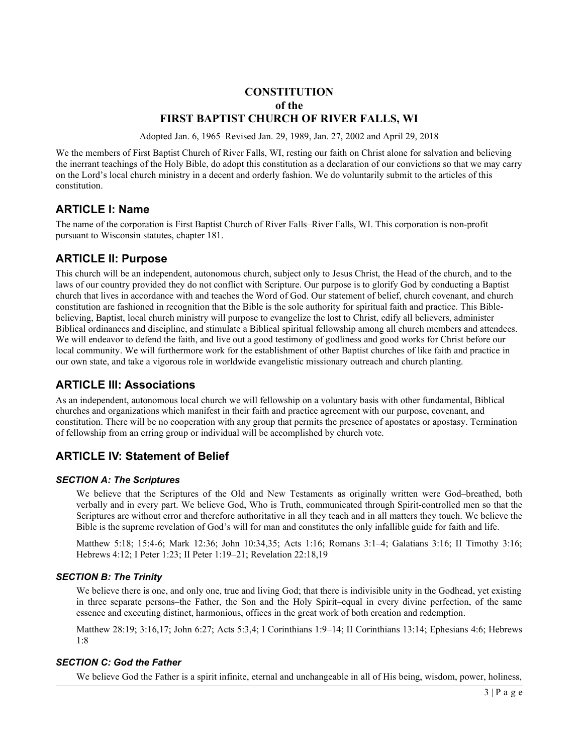# **CONSTITUTION** of the FIRST BAPTIST CHURCH OF RIVER FALLS, WI

Adopted Jan. 6, 1965–Revised Jan. 29, 1989, Jan. 27, 2002 and April 29, 2018

We the members of First Baptist Church of River Falls, WI, resting our faith on Christ alone for salvation and believing the inerrant teachings of the Holy Bible, do adopt this constitution as a declaration of our convictions so that we may carry on the Lord's local church ministry in a decent and orderly fashion. We do voluntarily submit to the articles of this constitution.

# ARTICLE I: Name

The name of the corporation is First Baptist Church of River Falls–River Falls, WI. This corporation is non-profit pursuant to Wisconsin statutes, chapter 181.

# ARTICLE II: Purpose

This church will be an independent, autonomous church, subject only to Jesus Christ, the Head of the church, and to the laws of our country provided they do not conflict with Scripture. Our purpose is to glorify God by conducting a Baptist church that lives in accordance with and teaches the Word of God. Our statement of belief, church covenant, and church constitution are fashioned in recognition that the Bible is the sole authority for spiritual faith and practice. This Biblebelieving, Baptist, local church ministry will purpose to evangelize the lost to Christ, edify all believers, administer Biblical ordinances and discipline, and stimulate a Biblical spiritual fellowship among all church members and attendees. We will endeavor to defend the faith, and live out a good testimony of godliness and good works for Christ before our local community. We will furthermore work for the establishment of other Baptist churches of like faith and practice in our own state, and take a vigorous role in worldwide evangelistic missionary outreach and church planting.

# ARTICLE III: Associations

As an independent, autonomous local church we will fellowship on a voluntary basis with other fundamental, Biblical churches and organizations which manifest in their faith and practice agreement with our purpose, covenant, and constitution. There will be no cooperation with any group that permits the presence of apostates or apostasy. Termination of fellowship from an erring group or individual will be accomplished by church vote.

# ARTICLE IV: Statement of Belief

# SECTION A: The Scriptures

We believe that the Scriptures of the Old and New Testaments as originally written were God–breathed, both verbally and in every part. We believe God, Who is Truth, communicated through Spirit-controlled men so that the Scriptures are without error and therefore authoritative in all they teach and in all matters they touch. We believe the Bible is the supreme revelation of God's will for man and constitutes the only infallible guide for faith and life.

Matthew 5:18; 15:4-6; Mark 12:36; John 10:34,35; Acts 1:16; Romans 3:1–4; Galatians 3:16; II Timothy 3:16; Hebrews 4:12; I Peter 1:23; II Peter 1:19–21; Revelation 22:18,19

# SECTION B: The Trinity

We believe there is one, and only one, true and living God; that there is indivisible unity in the Godhead, yet existing in three separate persons–the Father, the Son and the Holy Spirit–equal in every divine perfection, of the same essence and executing distinct, harmonious, offices in the great work of both creation and redemption.

Matthew 28:19; 3:16,17; John 6:27; Acts 5:3,4; I Corinthians 1:9–14; II Corinthians 13:14; Ephesians 4:6; Hebrews 1:8

# SECTION C: God the Father

We believe God the Father is a spirit infinite, eternal and unchangeable in all of His being, wisdom, power, holiness,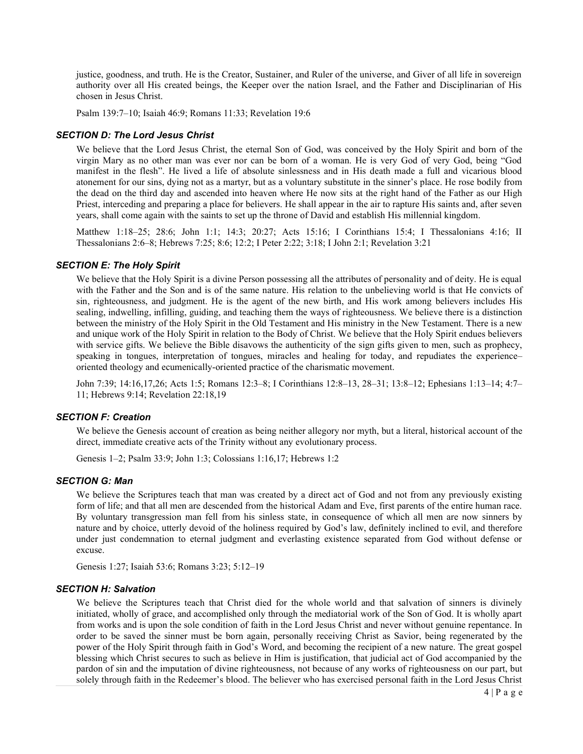justice, goodness, and truth. He is the Creator, Sustainer, and Ruler of the universe, and Giver of all life in sovereign authority over all His created beings, the Keeper over the nation Israel, and the Father and Disciplinarian of His chosen in Jesus Christ.

Psalm 139:7–10; Isaiah 46:9; Romans 11:33; Revelation 19:6

#### SECTION D: The Lord Jesus Christ

We believe that the Lord Jesus Christ, the eternal Son of God, was conceived by the Holy Spirit and born of the virgin Mary as no other man was ever nor can be born of a woman. He is very God of very God, being "God manifest in the flesh". He lived a life of absolute sinlessness and in His death made a full and vicarious blood atonement for our sins, dying not as a martyr, but as a voluntary substitute in the sinner's place. He rose bodily from the dead on the third day and ascended into heaven where He now sits at the right hand of the Father as our High Priest, interceding and preparing a place for believers. He shall appear in the air to rapture His saints and, after seven years, shall come again with the saints to set up the throne of David and establish His millennial kingdom.

Matthew 1:18–25; 28:6; John 1:1; 14:3; 20:27; Acts 15:16; I Corinthians 15:4; I Thessalonians 4:16; II Thessalonians 2:6–8; Hebrews 7:25; 8:6; 12:2; I Peter 2:22; 3:18; I John 2:1; Revelation 3:21

### SECTION E: The Holy Spirit

We believe that the Holy Spirit is a divine Person possessing all the attributes of personality and of deity. He is equal with the Father and the Son and is of the same nature. His relation to the unbelieving world is that He convicts of sin, righteousness, and judgment. He is the agent of the new birth, and His work among believers includes His sealing, indwelling, infilling, guiding, and teaching them the ways of righteousness. We believe there is a distinction between the ministry of the Holy Spirit in the Old Testament and His ministry in the New Testament. There is a new and unique work of the Holy Spirit in relation to the Body of Christ. We believe that the Holy Spirit endues believers with service gifts. We believe the Bible disavows the authenticity of the sign gifts given to men, such as prophecy, speaking in tongues, interpretation of tongues, miracles and healing for today, and repudiates the experience– oriented theology and ecumenically-oriented practice of the charismatic movement.

John 7:39; 14:16,17,26; Acts 1:5; Romans 12:3–8; I Corinthians 12:8–13, 28–31; 13:8–12; Ephesians 1:13–14; 4:7– 11; Hebrews 9:14; Revelation 22:18,19

#### SECTION F: Creation

We believe the Genesis account of creation as being neither allegory nor myth, but a literal, historical account of the direct, immediate creative acts of the Trinity without any evolutionary process.

Genesis 1–2; Psalm 33:9; John 1:3; Colossians 1:16,17; Hebrews 1:2

#### SECTION G: Man

We believe the Scriptures teach that man was created by a direct act of God and not from any previously existing form of life; and that all men are descended from the historical Adam and Eve, first parents of the entire human race. By voluntary transgression man fell from his sinless state, in consequence of which all men are now sinners by nature and by choice, utterly devoid of the holiness required by God's law, definitely inclined to evil, and therefore under just condemnation to eternal judgment and everlasting existence separated from God without defense or excuse.

Genesis 1:27; Isaiah 53:6; Romans 3:23; 5:12–19

#### SECTION H: Salvation

We believe the Scriptures teach that Christ died for the whole world and that salvation of sinners is divinely initiated, wholly of grace, and accomplished only through the mediatorial work of the Son of God. It is wholly apart from works and is upon the sole condition of faith in the Lord Jesus Christ and never without genuine repentance. In order to be saved the sinner must be born again, personally receiving Christ as Savior, being regenerated by the power of the Holy Spirit through faith in God's Word, and becoming the recipient of a new nature. The great gospel blessing which Christ secures to such as believe in Him is justification, that judicial act of God accompanied by the pardon of sin and the imputation of divine righteousness, not because of any works of righteousness on our part, but solely through faith in the Redeemer's blood. The believer who has exercised personal faith in the Lord Jesus Christ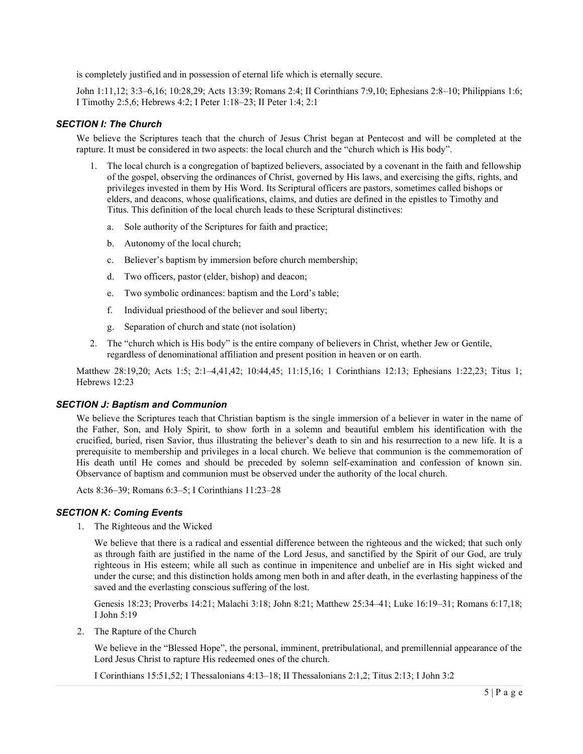is completely justified and in possession of eternal life which is eternally secure.

John 1:11,12; 3:3–6,16; 10:28,29; Acts 13:39; Romans 2:4; II Corinthians 7:9,10; Ephesians 2:8–10; Philippians 1:6; I Timothy 2:5,6; Hebrews 4:2; I Peter 1:18–23; II Peter 1:4; 2:1

## SECTION I: The Church

We believe the Scriptures teach that the church of Jesus Christ began at Pentecost and will be completed at the rapture. It must be considered in two aspects: the local church and the "church which is His body".

- 1. The local church is a congregation of baptized believers, associated by a covenant in the faith and fellowship of the gospel, observing the ordinances of Christ, governed by His laws, and exercising the gifts, rights, and privileges invested in them by His Word. Its Scriptural officers are pastors, sometimes called bishops or elders, and deacons, whose qualifications, claims, and duties are defined in the epistles to Timothy and Titus. This definition of the local church leads to these Scriptural distinctives:
	- a. Sole authority of the Scriptures for faith and practice;
	- b. Autonomy of the local church;
	- c. Believer's baptism by immersion before church membership;
	- d. Two officers, pastor (elder, bishop) and deacon;
	- e. Two symbolic ordinances: baptism and the Lord's table;
	- f. Individual priesthood of the believer and soul liberty;
	- g. Separation of church and state (not isolation)
- 2. The "church which is His body" is the entire company of believers in Christ, whether Jew or Gentile, regardless of denominational affiliation and present position in heaven or on earth.

Matthew 28:19,20; Acts 1:5; 2:1–4,41,42; 10:44,45; 11:15,16; 1 Corinthians 12:13; Ephesians 1:22,23; Titus 1; Hebrews 12:23

## SECTION J: Baptism and Communion

We believe the Scriptures teach that Christian baptism is the single immersion of a believer in water in the name of the Father, Son, and Holy Spirit, to show forth in a solemn and beautiful emblem his identification with the crucified, buried, risen Savior, thus illustrating the believer's death to sin and his resurrection to a new life. It is a prerequisite to membership and privileges in a local church. We believe that communion is the commemoration of His death until He comes and should be preceded by solemn self-examination and confession of known sin. Observance of baptism and communion must be observed under the authority of the local church.

Acts 8:36–39; Romans 6:3–5; I Corinthians 11:23–28

## **SECTION K: Coming Events**

1. The Righteous and the Wicked

We believe that there is a radical and essential difference between the righteous and the wicked; that such only as through faith are justified in the name of the Lord Jesus, and sanctified by the Spirit of our God, are truly righteous in His esteem; while all such as continue in impenitence and unbelief are in His sight wicked and under the curse; and this distinction holds among men both in and after death, in the everlasting happiness of the saved and the everlasting conscious suffering of the lost.

Genesis 18:23; Proverbs 14:21; Malachi 3:18; John 8:21; Matthew 25:34–41; Luke 16:19–31; Romans 6:17,18; I John 5:19

2. The Rapture of the Church

We believe in the "Blessed Hope", the personal, imminent, pretribulational, and premillennial appearance of the Lord Jesus Christ to rapture His redeemed ones of the church.

I Corinthians 15:51,52; I Thessalonians 4:13–18; II Thessalonians 2:1,2; Titus 2:13; I John 3:2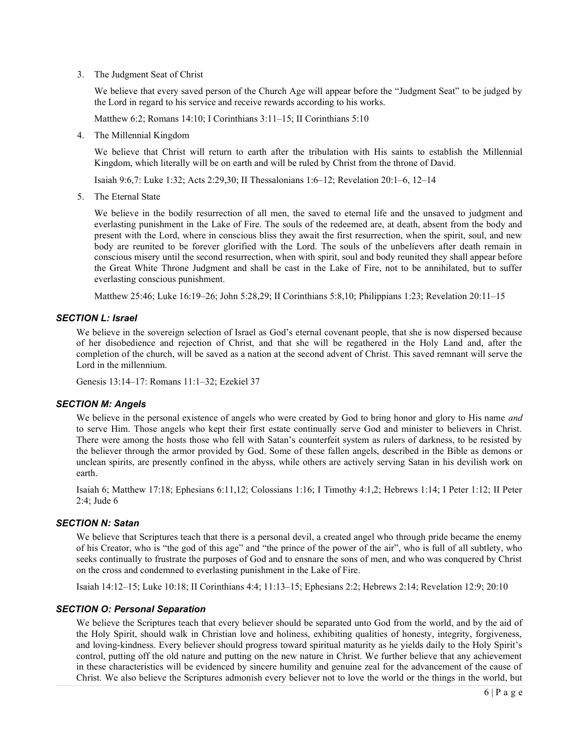3. The Judgment Seat of Christ

We believe that every saved person of the Church Age will appear before the "Judgment Seat" to be judged by the Lord in regard to his service and receive rewards according to his works.

Matthew 6:2; Romans 14:10; I Corinthians 3:11–15; II Corinthians 5:10

4. The Millennial Kingdom

We believe that Christ will return to earth after the tribulation with His saints to establish the Millennial Kingdom, which literally will be on earth and will be ruled by Christ from the throne of David.

Isaiah 9:6,7: Luke 1:32; Acts 2:29,30; II Thessalonians 1:6–12; Revelation 20:1–6, 12–14

5. The Eternal State

We believe in the bodily resurrection of all men, the saved to eternal life and the unsaved to judgment and everlasting punishment in the Lake of Fire. The souls of the redeemed are, at death, absent from the body and present with the Lord, where in conscious bliss they await the first resurrection, when the spirit, soul, and new body are reunited to be forever glorified with the Lord. The souls of the unbelievers after death remain in conscious misery until the second resurrection, when with spirit, soul and body reunited they shall appear before the Great White Throne Judgment and shall be cast in the Lake of Fire, not to be annihilated, but to suffer everlasting conscious punishment.

Matthew 25:46; Luke 16:19–26; John 5:28,29; II Corinthians 5:8,10; Philippians 1:23; Revelation 20:11–15

## SECTION L: Israel

We believe in the sovereign selection of Israel as God's eternal covenant people, that she is now dispersed because of her disobedience and rejection of Christ, and that she will be regathered in the Holy Land and, after the completion of the church, will be saved as a nation at the second advent of Christ. This saved remnant will serve the Lord in the millennium.

Genesis 13:14–17: Romans 11:1–32; Ezekiel 37

## SECTION M: Angels

We believe in the personal existence of angels who were created by God to bring honor and glory to His name and to serve Him. Those angels who kept their first estate continually serve God and minister to believers in Christ. There were among the hosts those who fell with Satan's counterfeit system as rulers of darkness, to be resisted by the believer through the armor provided by God. Some of these fallen angels, described in the Bible as demons or unclean spirits, are presently confined in the abyss, while others are actively serving Satan in his devilish work on earth.

Isaiah 6; Matthew 17:18; Ephesians 6:11,12; Colossians 1:16; I Timothy 4:1,2; Hebrews 1:14; I Peter 1:12; II Peter 2:4; Jude 6

## **SECTION N: Satan**

We believe that Scriptures teach that there is a personal devil, a created angel who through pride became the enemy of his Creator, who is "the god of this age" and "the prince of the power of the air", who is full of all subtlety, who seeks continually to frustrate the purposes of God and to ensnare the sons of men, and who was conquered by Christ on the cross and condemned to everlasting punishment in the Lake of Fire.

Isaiah 14:12–15; Luke 10:18; II Corinthians 4:4; 11:13–15; Ephesians 2:2; Hebrews 2:14; Revelation 12:9; 20:10

## SECTION O: Personal Separation

We believe the Scriptures teach that every believer should be separated unto God from the world, and by the aid of the Holy Spirit, should walk in Christian love and holiness, exhibiting qualities of honesty, integrity, forgiveness, and loving-kindness. Every believer should progress toward spiritual maturity as he yields daily to the Holy Spirit's control, putting off the old nature and putting on the new nature in Christ. We further believe that any achievement in these characteristics will be evidenced by sincere humility and genuine zeal for the advancement of the cause of Christ. We also believe the Scriptures admonish every believer not to love the world or the things in the world, but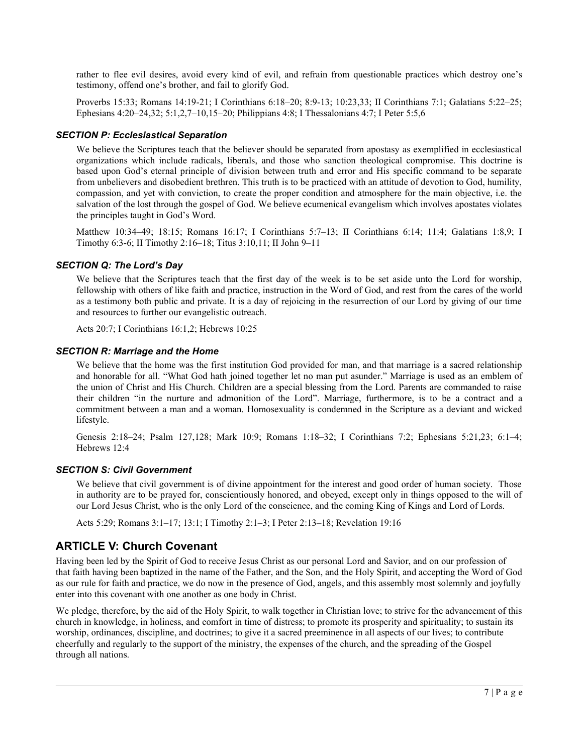rather to flee evil desires, avoid every kind of evil, and refrain from questionable practices which destroy one's testimony, offend one's brother, and fail to glorify God.

Proverbs 15:33; Romans 14:19-21; I Corinthians 6:18–20; 8:9-13; 10:23,33; II Corinthians 7:1; Galatians 5:22–25; Ephesians 4:20–24,32; 5:1,2,7–10,15–20; Philippians 4:8; I Thessalonians 4:7; I Peter 5:5,6

## SECTION P: Ecclesiastical Separation

We believe the Scriptures teach that the believer should be separated from apostasy as exemplified in ecclesiastical organizations which include radicals, liberals, and those who sanction theological compromise. This doctrine is based upon God's eternal principle of division between truth and error and His specific command to be separate from unbelievers and disobedient brethren. This truth is to be practiced with an attitude of devotion to God, humility, compassion, and yet with conviction, to create the proper condition and atmosphere for the main objective, i.e. the salvation of the lost through the gospel of God. We believe ecumenical evangelism which involves apostates violates the principles taught in God's Word.

Matthew 10:34–49; 18:15; Romans 16:17; I Corinthians 5:7–13; II Corinthians 6:14; 11:4; Galatians 1:8,9; I Timothy 6:3-6; II Timothy 2:16–18; Titus 3:10,11; II John 9–11

## SECTION Q: The Lord's Day

We believe that the Scriptures teach that the first day of the week is to be set aside unto the Lord for worship, fellowship with others of like faith and practice, instruction in the Word of God, and rest from the cares of the world as a testimony both public and private. It is a day of rejoicing in the resurrection of our Lord by giving of our time and resources to further our evangelistic outreach.

Acts 20:7; I Corinthians 16:1,2; Hebrews 10:25

## SECTION R: Marriage and the Home

We believe that the home was the first institution God provided for man, and that marriage is a sacred relationship and honorable for all. "What God hath joined together let no man put asunder." Marriage is used as an emblem of the union of Christ and His Church. Children are a special blessing from the Lord. Parents are commanded to raise their children "in the nurture and admonition of the Lord". Marriage, furthermore, is to be a contract and a commitment between a man and a woman. Homosexuality is condemned in the Scripture as a deviant and wicked lifestyle.

Genesis 2:18–24; Psalm 127,128; Mark 10:9; Romans 1:18–32; I Corinthians 7:2; Ephesians 5:21,23; 6:1–4; Hebrews 12:4

## SECTION S: Civil Government

We believe that civil government is of divine appointment for the interest and good order of human society. Those in authority are to be prayed for, conscientiously honored, and obeyed, except only in things opposed to the will of our Lord Jesus Christ, who is the only Lord of the conscience, and the coming King of Kings and Lord of Lords.

Acts 5:29; Romans 3:1–17; 13:1; I Timothy 2:1–3; I Peter 2:13–18; Revelation 19:16

# ARTICLE V: Church Covenant

Having been led by the Spirit of God to receive Jesus Christ as our personal Lord and Savior, and on our profession of that faith having been baptized in the name of the Father, and the Son, and the Holy Spirit, and accepting the Word of God as our rule for faith and practice, we do now in the presence of God, angels, and this assembly most solemnly and joyfully enter into this covenant with one another as one body in Christ.

We pledge, therefore, by the aid of the Holy Spirit, to walk together in Christian love; to strive for the advancement of this church in knowledge, in holiness, and comfort in time of distress; to promote its prosperity and spirituality; to sustain its worship, ordinances, discipline, and doctrines; to give it a sacred preeminence in all aspects of our lives; to contribute cheerfully and regularly to the support of the ministry, the expenses of the church, and the spreading of the Gospel through all nations.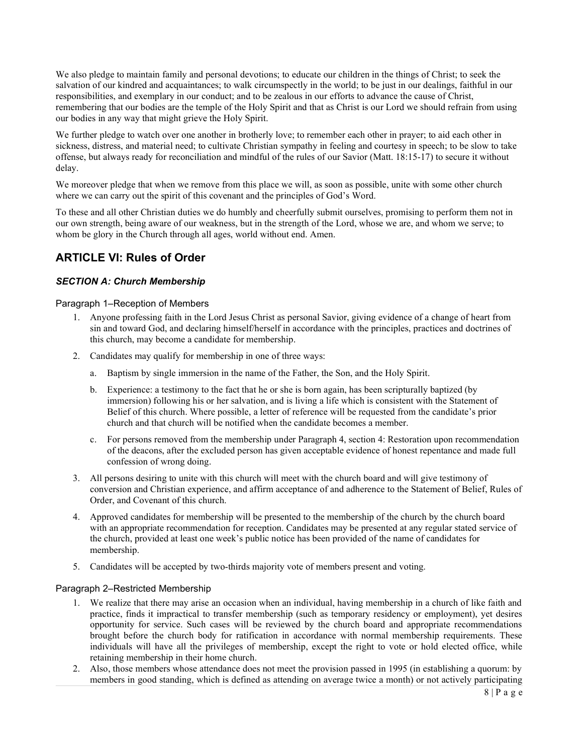We also pledge to maintain family and personal devotions; to educate our children in the things of Christ; to seek the salvation of our kindred and acquaintances; to walk circumspectly in the world; to be just in our dealings, faithful in our responsibilities, and exemplary in our conduct; and to be zealous in our efforts to advance the cause of Christ, remembering that our bodies are the temple of the Holy Spirit and that as Christ is our Lord we should refrain from using our bodies in any way that might grieve the Holy Spirit.

We further pledge to watch over one another in brotherly love; to remember each other in prayer; to aid each other in sickness, distress, and material need; to cultivate Christian sympathy in feeling and courtesy in speech; to be slow to take offense, but always ready for reconciliation and mindful of the rules of our Savior (Matt. 18:15-17) to secure it without delay.

We moreover pledge that when we remove from this place we will, as soon as possible, unite with some other church where we can carry out the spirit of this covenant and the principles of God's Word.

To these and all other Christian duties we do humbly and cheerfully submit ourselves, promising to perform them not in our own strength, being aware of our weakness, but in the strength of the Lord, whose we are, and whom we serve; to whom be glory in the Church through all ages, world without end. Amen.

# ARTICLE VI: Rules of Order

# SECTION A: Church Membership

Paragraph 1–Reception of Members

- 1. Anyone professing faith in the Lord Jesus Christ as personal Savior, giving evidence of a change of heart from sin and toward God, and declaring himself/herself in accordance with the principles, practices and doctrines of this church, may become a candidate for membership.
- 2. Candidates may qualify for membership in one of three ways:
	- a. Baptism by single immersion in the name of the Father, the Son, and the Holy Spirit.
	- b. Experience: a testimony to the fact that he or she is born again, has been scripturally baptized (by immersion) following his or her salvation, and is living a life which is consistent with the Statement of Belief of this church. Where possible, a letter of reference will be requested from the candidate's prior church and that church will be notified when the candidate becomes a member.
	- c. For persons removed from the membership under Paragraph 4, section 4: Restoration upon recommendation of the deacons, after the excluded person has given acceptable evidence of honest repentance and made full confession of wrong doing.
- 3. All persons desiring to unite with this church will meet with the church board and will give testimony of conversion and Christian experience, and affirm acceptance of and adherence to the Statement of Belief, Rules of Order, and Covenant of this church.
- 4. Approved candidates for membership will be presented to the membership of the church by the church board with an appropriate recommendation for reception. Candidates may be presented at any regular stated service of the church, provided at least one week's public notice has been provided of the name of candidates for membership.
- 5. Candidates will be accepted by two-thirds majority vote of members present and voting.

## Paragraph 2–Restricted Membership

- 1. We realize that there may arise an occasion when an individual, having membership in a church of like faith and practice, finds it impractical to transfer membership (such as temporary residency or employment), yet desires opportunity for service. Such cases will be reviewed by the church board and appropriate recommendations brought before the church body for ratification in accordance with normal membership requirements. These individuals will have all the privileges of membership, except the right to vote or hold elected office, while retaining membership in their home church.
- 2. Also, those members whose attendance does not meet the provision passed in 1995 (in establishing a quorum: by members in good standing, which is defined as attending on average twice a month) or not actively participating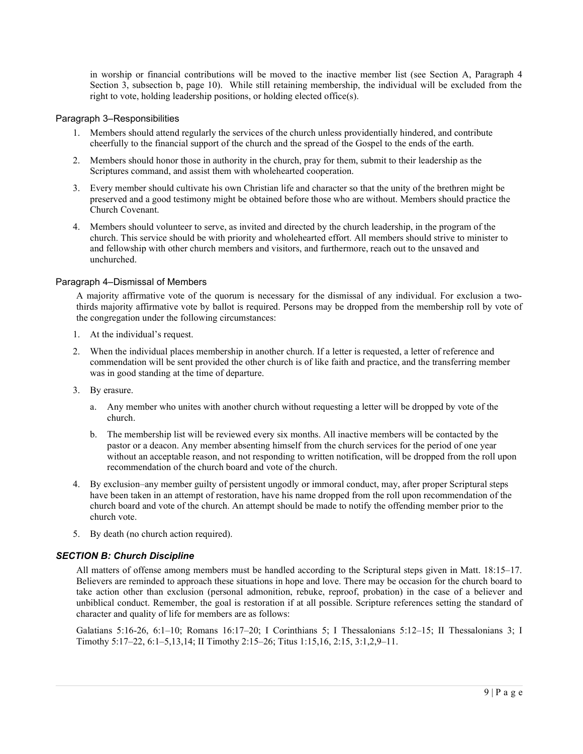in worship or financial contributions will be moved to the inactive member list (see Section A, Paragraph 4 Section 3, subsection b, page 10). While still retaining membership, the individual will be excluded from the right to vote, holding leadership positions, or holding elected office(s).

### Paragraph 3–Responsibilities

- 1. Members should attend regularly the services of the church unless providentially hindered, and contribute cheerfully to the financial support of the church and the spread of the Gospel to the ends of the earth.
- 2. Members should honor those in authority in the church, pray for them, submit to their leadership as the Scriptures command, and assist them with wholehearted cooperation.
- 3. Every member should cultivate his own Christian life and character so that the unity of the brethren might be preserved and a good testimony might be obtained before those who are without. Members should practice the Church Covenant.
- 4. Members should volunteer to serve, as invited and directed by the church leadership, in the program of the church. This service should be with priority and wholehearted effort. All members should strive to minister to and fellowship with other church members and visitors, and furthermore, reach out to the unsaved and unchurched.

#### Paragraph 4–Dismissal of Members

A majority affirmative vote of the quorum is necessary for the dismissal of any individual. For exclusion a twothirds majority affirmative vote by ballot is required. Persons may be dropped from the membership roll by vote of the congregation under the following circumstances:

- 1. At the individual's request.
- 2. When the individual places membership in another church. If a letter is requested, a letter of reference and commendation will be sent provided the other church is of like faith and practice, and the transferring member was in good standing at the time of departure.
- 3. By erasure.
	- a. Any member who unites with another church without requesting a letter will be dropped by vote of the church.
	- b. The membership list will be reviewed every six months. All inactive members will be contacted by the pastor or a deacon. Any member absenting himself from the church services for the period of one year without an acceptable reason, and not responding to written notification, will be dropped from the roll upon recommendation of the church board and vote of the church.
- 4. By exclusion–any member guilty of persistent ungodly or immoral conduct, may, after proper Scriptural steps have been taken in an attempt of restoration, have his name dropped from the roll upon recommendation of the church board and vote of the church. An attempt should be made to notify the offending member prior to the church vote.
- 5. By death (no church action required).

## SECTION B: Church Discipline

All matters of offense among members must be handled according to the Scriptural steps given in Matt. 18:15–17. Believers are reminded to approach these situations in hope and love. There may be occasion for the church board to take action other than exclusion (personal admonition, rebuke, reproof, probation) in the case of a believer and unbiblical conduct. Remember, the goal is restoration if at all possible. Scripture references setting the standard of character and quality of life for members are as follows:

Galatians 5:16-26, 6:1–10; Romans 16:17–20; I Corinthians 5; I Thessalonians 5:12–15; II Thessalonians 3; I Timothy 5:17–22, 6:1–5,13,14; II Timothy 2:15–26; Titus 1:15,16, 2:15, 3:1,2,9–11.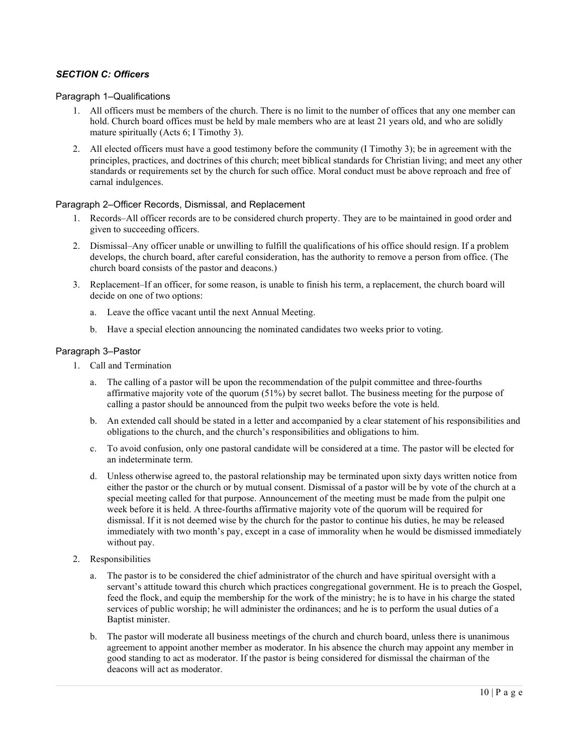# SECTION C: Officers

Paragraph 1–Qualifications

- 1. All officers must be members of the church. There is no limit to the number of offices that any one member can hold. Church board offices must be held by male members who are at least 21 years old, and who are solidly mature spiritually (Acts 6; I Timothy 3).
- 2. All elected officers must have a good testimony before the community (I Timothy 3); be in agreement with the principles, practices, and doctrines of this church; meet biblical standards for Christian living; and meet any other standards or requirements set by the church for such office. Moral conduct must be above reproach and free of carnal indulgences.

## Paragraph 2–Officer Records, Dismissal, and Replacement

- 1. Records–All officer records are to be considered church property. They are to be maintained in good order and given to succeeding officers.
- 2. Dismissal–Any officer unable or unwilling to fulfill the qualifications of his office should resign. If a problem develops, the church board, after careful consideration, has the authority to remove a person from office. (The church board consists of the pastor and deacons.)
- 3. Replacement–If an officer, for some reason, is unable to finish his term, a replacement, the church board will decide on one of two options:
	- a. Leave the office vacant until the next Annual Meeting.
	- b. Have a special election announcing the nominated candidates two weeks prior to voting.

## Paragraph 3–Pastor

- 1. Call and Termination
	- a. The calling of a pastor will be upon the recommendation of the pulpit committee and three-fourths affirmative majority vote of the quorum (51%) by secret ballot. The business meeting for the purpose of calling a pastor should be announced from the pulpit two weeks before the vote is held.
	- b. An extended call should be stated in a letter and accompanied by a clear statement of his responsibilities and obligations to the church, and the church's responsibilities and obligations to him.
	- c. To avoid confusion, only one pastoral candidate will be considered at a time. The pastor will be elected for an indeterminate term.
	- d. Unless otherwise agreed to, the pastoral relationship may be terminated upon sixty days written notice from either the pastor or the church or by mutual consent. Dismissal of a pastor will be by vote of the church at a special meeting called for that purpose. Announcement of the meeting must be made from the pulpit one week before it is held. A three-fourths affirmative majority vote of the quorum will be required for dismissal. If it is not deemed wise by the church for the pastor to continue his duties, he may be released immediately with two month's pay, except in a case of immorality when he would be dismissed immediately without pay.
- 2. Responsibilities
	- a. The pastor is to be considered the chief administrator of the church and have spiritual oversight with a servant's attitude toward this church which practices congregational government. He is to preach the Gospel, feed the flock, and equip the membership for the work of the ministry; he is to have in his charge the stated services of public worship; he will administer the ordinances; and he is to perform the usual duties of a Baptist minister.
	- b. The pastor will moderate all business meetings of the church and church board, unless there is unanimous agreement to appoint another member as moderator. In his absence the church may appoint any member in good standing to act as moderator. If the pastor is being considered for dismissal the chairman of the deacons will act as moderator.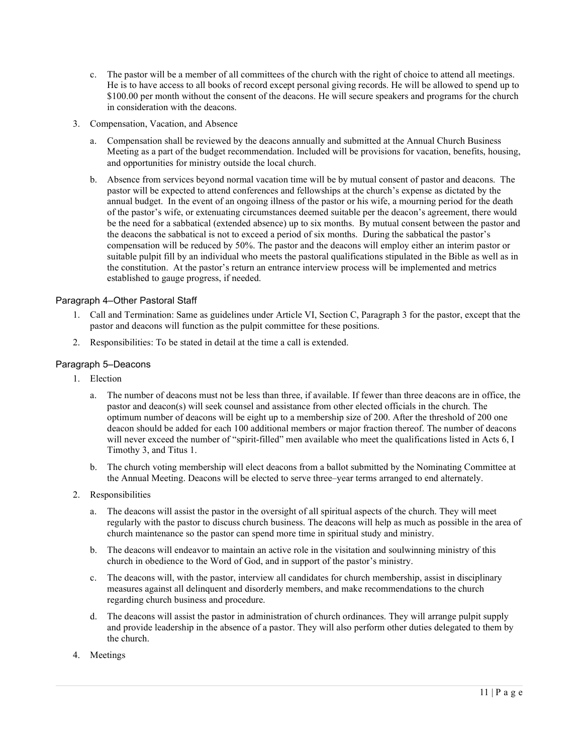- c. The pastor will be a member of all committees of the church with the right of choice to attend all meetings. He is to have access to all books of record except personal giving records. He will be allowed to spend up to \$100.00 per month without the consent of the deacons. He will secure speakers and programs for the church in consideration with the deacons.
- 3. Compensation, Vacation, and Absence
	- a. Compensation shall be reviewed by the deacons annually and submitted at the Annual Church Business Meeting as a part of the budget recommendation. Included will be provisions for vacation, benefits, housing, and opportunities for ministry outside the local church.
	- b. Absence from services beyond normal vacation time will be by mutual consent of pastor and deacons. The pastor will be expected to attend conferences and fellowships at the church's expense as dictated by the annual budget. In the event of an ongoing illness of the pastor or his wife, a mourning period for the death of the pastor's wife, or extenuating circumstances deemed suitable per the deacon's agreement, there would be the need for a sabbatical (extended absence) up to six months. By mutual consent between the pastor and the deacons the sabbatical is not to exceed a period of six months. During the sabbatical the pastor's compensation will be reduced by 50%. The pastor and the deacons will employ either an interim pastor or suitable pulpit fill by an individual who meets the pastoral qualifications stipulated in the Bible as well as in the constitution. At the pastor's return an entrance interview process will be implemented and metrics established to gauge progress, if needed.

# Paragraph 4–Other Pastoral Staff

- 1. Call and Termination: Same as guidelines under Article VI, Section C, Paragraph 3 for the pastor, except that the pastor and deacons will function as the pulpit committee for these positions.
- 2. Responsibilities: To be stated in detail at the time a call is extended.

## Paragraph 5–Deacons

- 1. Election
	- a. The number of deacons must not be less than three, if available. If fewer than three deacons are in office, the pastor and deacon(s) will seek counsel and assistance from other elected officials in the church. The optimum number of deacons will be eight up to a membership size of 200. After the threshold of 200 one deacon should be added for each 100 additional members or major fraction thereof. The number of deacons will never exceed the number of "spirit-filled" men available who meet the qualifications listed in Acts 6, I Timothy 3, and Titus 1.
	- b. The church voting membership will elect deacons from a ballot submitted by the Nominating Committee at the Annual Meeting. Deacons will be elected to serve three–year terms arranged to end alternately.
- 2. Responsibilities
	- a. The deacons will assist the pastor in the oversight of all spiritual aspects of the church. They will meet regularly with the pastor to discuss church business. The deacons will help as much as possible in the area of church maintenance so the pastor can spend more time in spiritual study and ministry.
	- b. The deacons will endeavor to maintain an active role in the visitation and soulwinning ministry of this church in obedience to the Word of God, and in support of the pastor's ministry.
	- c. The deacons will, with the pastor, interview all candidates for church membership, assist in disciplinary measures against all delinquent and disorderly members, and make recommendations to the church regarding church business and procedure.
	- d. The deacons will assist the pastor in administration of church ordinances. They will arrange pulpit supply and provide leadership in the absence of a pastor. They will also perform other duties delegated to them by the church.
- 4. Meetings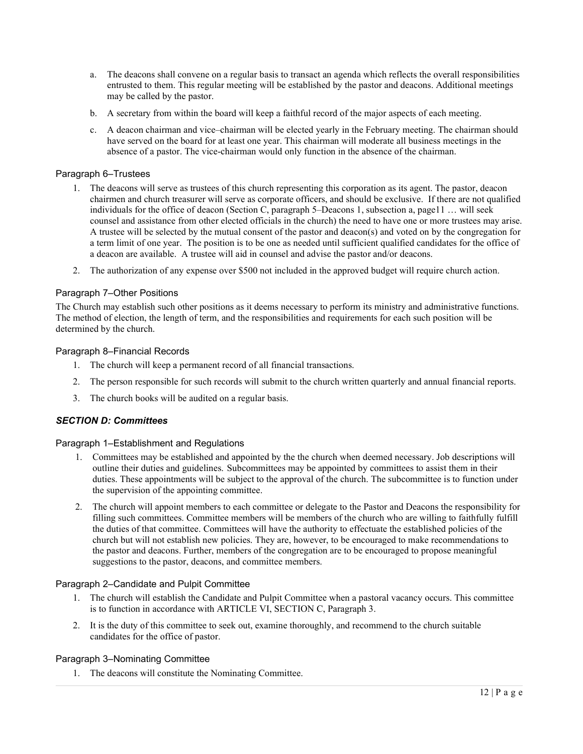- a. The deacons shall convene on a regular basis to transact an agenda which reflects the overall responsibilities entrusted to them. This regular meeting will be established by the pastor and deacons. Additional meetings may be called by the pastor.
- b. A secretary from within the board will keep a faithful record of the major aspects of each meeting.
- c. A deacon chairman and vice–chairman will be elected yearly in the February meeting. The chairman should have served on the board for at least one year. This chairman will moderate all business meetings in the absence of a pastor. The vice-chairman would only function in the absence of the chairman.

## Paragraph 6–Trustees

- 1. The deacons will serve as trustees of this church representing this corporation as its agent. The pastor, deacon chairmen and church treasurer will serve as corporate officers, and should be exclusive. If there are not qualified individuals for the office of deacon (Section C, paragraph 5–Deacons 1, subsection a, page11 … will seek counsel and assistance from other elected officials in the church) the need to have one or more trustees may arise. A trustee will be selected by the mutual consent of the pastor and deacon(s) and voted on by the congregation for a term limit of one year. The position is to be one as needed until sufficient qualified candidates for the office of a deacon are available. A trustee will aid in counsel and advise the pastor and/or deacons.
- 2. The authorization of any expense over \$500 not included in the approved budget will require church action.

## Paragraph 7–Other Positions

The Church may establish such other positions as it deems necessary to perform its ministry and administrative functions. The method of election, the length of term, and the responsibilities and requirements for each such position will be determined by the church.

## Paragraph 8–Financial Records

- 1. The church will keep a permanent record of all financial transactions.
- 2. The person responsible for such records will submit to the church written quarterly and annual financial reports.
- 3. The church books will be audited on a regular basis.

## SECTION D: Committees

## Paragraph 1–Establishment and Regulations

- 1. Committees may be established and appointed by the the church when deemed necessary. Job descriptions will outline their duties and guidelines. Subcommittees may be appointed by committees to assist them in their duties. These appointments will be subject to the approval of the church. The subcommittee is to function under the supervision of the appointing committee.
- 2. The church will appoint members to each committee or delegate to the Pastor and Deacons the responsibility for filling such committees. Committee members will be members of the church who are willing to faithfully fulfill the duties of that committee. Committees will have the authority to effectuate the established policies of the church but will not establish new policies. They are, however, to be encouraged to make recommendations to the pastor and deacons. Further, members of the congregation are to be encouraged to propose meaningful suggestions to the pastor, deacons, and committee members.

## Paragraph 2–Candidate and Pulpit Committee

- 1. The church will establish the Candidate and Pulpit Committee when a pastoral vacancy occurs. This committee is to function in accordance with ARTICLE VI, SECTION C, Paragraph 3.
- 2. It is the duty of this committee to seek out, examine thoroughly, and recommend to the church suitable candidates for the office of pastor.

## Paragraph 3–Nominating Committee

1. The deacons will constitute the Nominating Committee.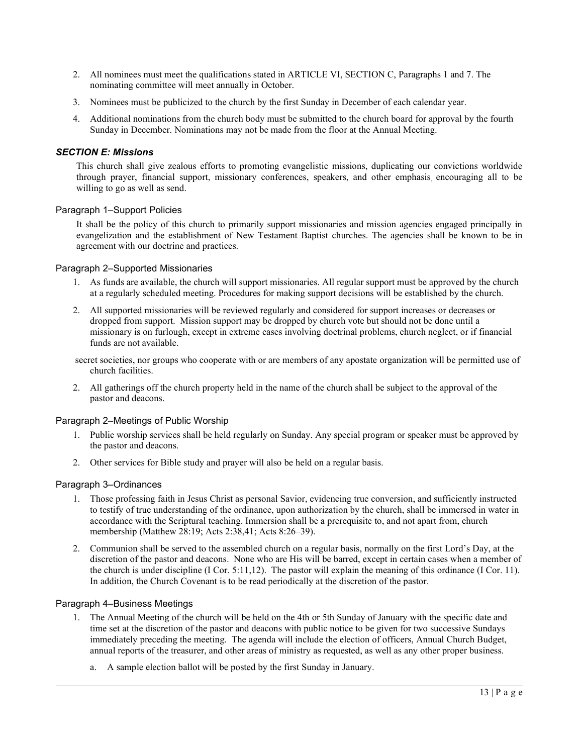- 2. All nominees must meet the qualifications stated in ARTICLE VI, SECTION C, Paragraphs 1 and 7. The nominating committee will meet annually in October.
- 3. Nominees must be publicized to the church by the first Sunday in December of each calendar year.
- 4. Additional nominations from the church body must be submitted to the church board for approval by the fourth Sunday in December. Nominations may not be made from the floor at the Annual Meeting.

## SECTION E: Missions

This church shall give zealous efforts to promoting evangelistic missions, duplicating our convictions worldwide through prayer, financial support, missionary conferences, speakers, and other emphasis, encouraging all to be willing to go as well as send.

### Paragraph 1–Support Policies

It shall be the policy of this church to primarily support missionaries and mission agencies engaged principally in evangelization and the establishment of New Testament Baptist churches. The agencies shall be known to be in agreement with our doctrine and practices.

### Paragraph 2–Supported Missionaries

- 1. As funds are available, the church will support missionaries. All regular support must be approved by the church at a regularly scheduled meeting. Procedures for making support decisions will be established by the church.
- 2. All supported missionaries will be reviewed regularly and considered for support increases or decreases or dropped from support. Mission support may be dropped by church vote but should not be done until a missionary is on furlough, except in extreme cases involving doctrinal problems, church neglect, or if financial funds are not available.
- secret societies, nor groups who cooperate with or are members of any apostate organization will be permitted use of church facilities.
- 2. All gatherings off the church property held in the name of the church shall be subject to the approval of the pastor and deacons.

## Paragraph 2–Meetings of Public Worship

- 1. Public worship services shall be held regularly on Sunday. Any special program or speaker must be approved by the pastor and deacons.
- 2. Other services for Bible study and prayer will also be held on a regular basis.

#### Paragraph 3–Ordinances

- 1. Those professing faith in Jesus Christ as personal Savior, evidencing true conversion, and sufficiently instructed to testify of true understanding of the ordinance, upon authorization by the church, shall be immersed in water in accordance with the Scriptural teaching. Immersion shall be a prerequisite to, and not apart from, church membership (Matthew 28:19; Acts 2:38,41; Acts 8:26–39).
- 2. Communion shall be served to the assembled church on a regular basis, normally on the first Lord's Day, at the discretion of the pastor and deacons. None who are His will be barred, except in certain cases when a member of the church is under discipline (I Cor. 5:11,12). The pastor will explain the meaning of this ordinance (I Cor. 11). In addition, the Church Covenant is to be read periodically at the discretion of the pastor.

#### Paragraph 4–Business Meetings

- 1. The Annual Meeting of the church will be held on the 4th or 5th Sunday of January with the specific date and time set at the discretion of the pastor and deacons with public notice to be given for two successive Sundays immediately preceding the meeting. The agenda will include the election of officers, Annual Church Budget, annual reports of the treasurer, and other areas of ministry as requested, as well as any other proper business.
	- a. A sample election ballot will be posted by the first Sunday in January.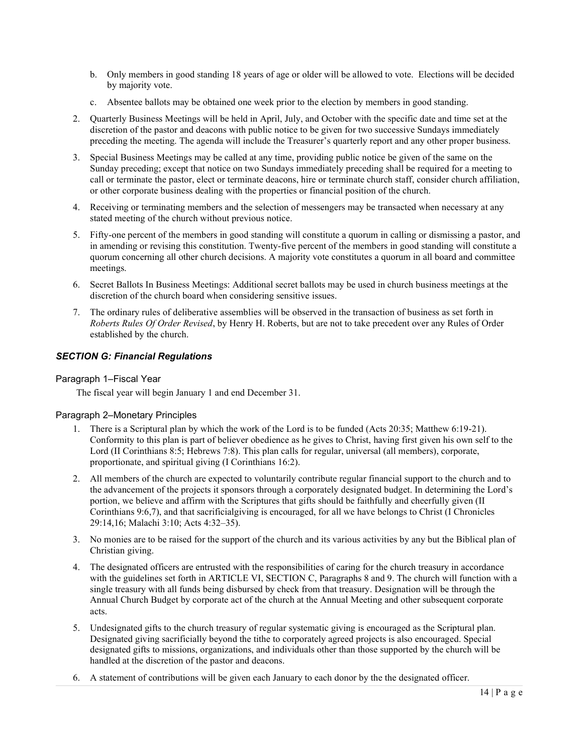- b. Only members in good standing 18 years of age or older will be allowed to vote. Elections will be decided by majority vote.
- c. Absentee ballots may be obtained one week prior to the election by members in good standing.
- 2. Quarterly Business Meetings will be held in April, July, and October with the specific date and time set at the discretion of the pastor and deacons with public notice to be given for two successive Sundays immediately preceding the meeting. The agenda will include the Treasurer's quarterly report and any other proper business.
- 3. Special Business Meetings may be called at any time, providing public notice be given of the same on the Sunday preceding; except that notice on two Sundays immediately preceding shall be required for a meeting to call or terminate the pastor, elect or terminate deacons, hire or terminate church staff, consider church affiliation, or other corporate business dealing with the properties or financial position of the church.
- 4. Receiving or terminating members and the selection of messengers may be transacted when necessary at any stated meeting of the church without previous notice.
- 5. Fifty-one percent of the members in good standing will constitute a quorum in calling or dismissing a pastor, and in amending or revising this constitution. Twenty-five percent of the members in good standing will constitute a quorum concerning all other church decisions. A majority vote constitutes a quorum in all board and committee meetings.
- 6. Secret Ballots In Business Meetings: Additional secret ballots may be used in church business meetings at the discretion of the church board when considering sensitive issues.
- 7. The ordinary rules of deliberative assemblies will be observed in the transaction of business as set forth in Roberts Rules Of Order Revised, by Henry H. Roberts, but are not to take precedent over any Rules of Order established by the church.

## SECTION G: Financial Regulations

## Paragraph 1–Fiscal Year

The fiscal year will begin January 1 and end December 31.

## Paragraph 2–Monetary Principles

- 1. There is a Scriptural plan by which the work of the Lord is to be funded (Acts 20:35; Matthew 6:19-21). Conformity to this plan is part of believer obedience as he gives to Christ, having first given his own self to the Lord (II Corinthians 8:5; Hebrews 7:8). This plan calls for regular, universal (all members), corporate, proportionate, and spiritual giving (I Corinthians 16:2).
- 2. All members of the church are expected to voluntarily contribute regular financial support to the church and to the advancement of the projects it sponsors through a corporately designated budget. In determining the Lord's portion, we believe and affirm with the Scriptures that gifts should be faithfully and cheerfully given (II Corinthians 9:6,7), and that sacrificialgiving is encouraged, for all we have belongs to Christ (I Chronicles 29:14,16; Malachi 3:10; Acts 4:32–35).
- 3. No monies are to be raised for the support of the church and its various activities by any but the Biblical plan of Christian giving.
- 4. The designated officers are entrusted with the responsibilities of caring for the church treasury in accordance with the guidelines set forth in ARTICLE VI, SECTION C, Paragraphs 8 and 9. The church will function with a single treasury with all funds being disbursed by check from that treasury. Designation will be through the Annual Church Budget by corporate act of the church at the Annual Meeting and other subsequent corporate acts.
- 5. Undesignated gifts to the church treasury of regular systematic giving is encouraged as the Scriptural plan. Designated giving sacrificially beyond the tithe to corporately agreed projects is also encouraged. Special designated gifts to missions, organizations, and individuals other than those supported by the church will be handled at the discretion of the pastor and deacons.
- 6. A statement of contributions will be given each January to each donor by the the designated officer.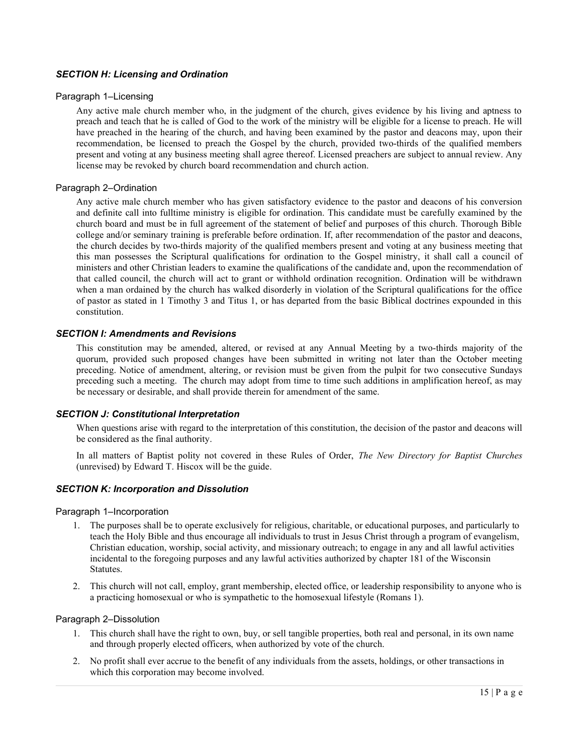## SECTION H: Licensing and Ordination

## Paragraph 1–Licensing

Any active male church member who, in the judgment of the church, gives evidence by his living and aptness to preach and teach that he is called of God to the work of the ministry will be eligible for a license to preach. He will have preached in the hearing of the church, and having been examined by the pastor and deacons may, upon their recommendation, be licensed to preach the Gospel by the church, provided two-thirds of the qualified members present and voting at any business meeting shall agree thereof. Licensed preachers are subject to annual review. Any license may be revoked by church board recommendation and church action.

### Paragraph 2–Ordination

Any active male church member who has given satisfactory evidence to the pastor and deacons of his conversion and definite call into fulltime ministry is eligible for ordination. This candidate must be carefully examined by the church board and must be in full agreement of the statement of belief and purposes of this church. Thorough Bible college and/or seminary training is preferable before ordination. If, after recommendation of the pastor and deacons, the church decides by two-thirds majority of the qualified members present and voting at any business meeting that this man possesses the Scriptural qualifications for ordination to the Gospel ministry, it shall call a council of ministers and other Christian leaders to examine the qualifications of the candidate and, upon the recommendation of that called council, the church will act to grant or withhold ordination recognition. Ordination will be withdrawn when a man ordained by the church has walked disorderly in violation of the Scriptural qualifications for the office of pastor as stated in 1 Timothy 3 and Titus 1, or has departed from the basic Biblical doctrines expounded in this constitution.

### SECTION I: Amendments and Revisions

This constitution may be amended, altered, or revised at any Annual Meeting by a two-thirds majority of the quorum, provided such proposed changes have been submitted in writing not later than the October meeting preceding. Notice of amendment, altering, or revision must be given from the pulpit for two consecutive Sundays preceding such a meeting. The church may adopt from time to time such additions in amplification hereof, as may be necessary or desirable, and shall provide therein for amendment of the same.

## SECTION J: Constitutional Interpretation

When questions arise with regard to the interpretation of this constitution, the decision of the pastor and deacons will be considered as the final authority.

In all matters of Baptist polity not covered in these Rules of Order, The New Directory for Baptist Churches (unrevised) by Edward T. Hiscox will be the guide.

## SECTION K: Incorporation and Dissolution

Paragraph 1–Incorporation

- 1. The purposes shall be to operate exclusively for religious, charitable, or educational purposes, and particularly to teach the Holy Bible and thus encourage all individuals to trust in Jesus Christ through a program of evangelism, Christian education, worship, social activity, and missionary outreach; to engage in any and all lawful activities incidental to the foregoing purposes and any lawful activities authorized by chapter 181 of the Wisconsin Statutes.
- 2. This church will not call, employ, grant membership, elected office, or leadership responsibility to anyone who is a practicing homosexual or who is sympathetic to the homosexual lifestyle (Romans 1).

#### Paragraph 2–Dissolution

- 1. This church shall have the right to own, buy, or sell tangible properties, both real and personal, in its own name and through properly elected officers, when authorized by vote of the church.
- 2. No profit shall ever accrue to the benefit of any individuals from the assets, holdings, or other transactions in which this corporation may become involved.